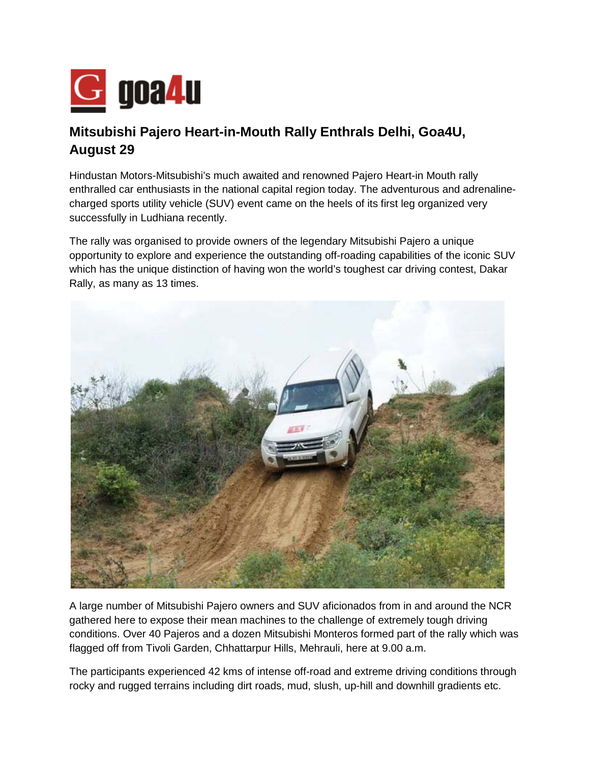

## **Mitsubishi Pajero Heart-in-Mouth Rally Enthrals Delhi, Goa4U, August 29**

Hindustan Motors-Mitsubishi's much awaited and renowned Pajero Heart-in Mouth rally enthralled car enthusiasts in the national capital region today. The adventurous and adrenalinecharged sports utility vehicle (SUV) event came on the heels of its first leg organized very successfully in Ludhiana recently.

The rally was organised to provide owners of the legendary Mitsubishi Pajero a unique opportunity to explore and experience the outstanding off-roading capabilities of the iconic SUV which has the unique distinction of having won the world's toughest car driving contest, Dakar Rally, as many as 13 times.



A large number of Mitsubishi Pajero owners and SUV aficionados from in and around the NCR gathered here to expose their mean machines to the challenge of extremely tough driving conditions. Over 40 Pajeros and a dozen Mitsubishi Monteros formed part of the rally which was flagged off from Tivoli Garden, Chhattarpur Hills, Mehrauli, here at 9.00 a.m.

The participants experienced 42 kms of intense off-road and extreme driving conditions through rocky and rugged terrains including dirt roads, mud, slush, up-hill and downhill gradients etc.